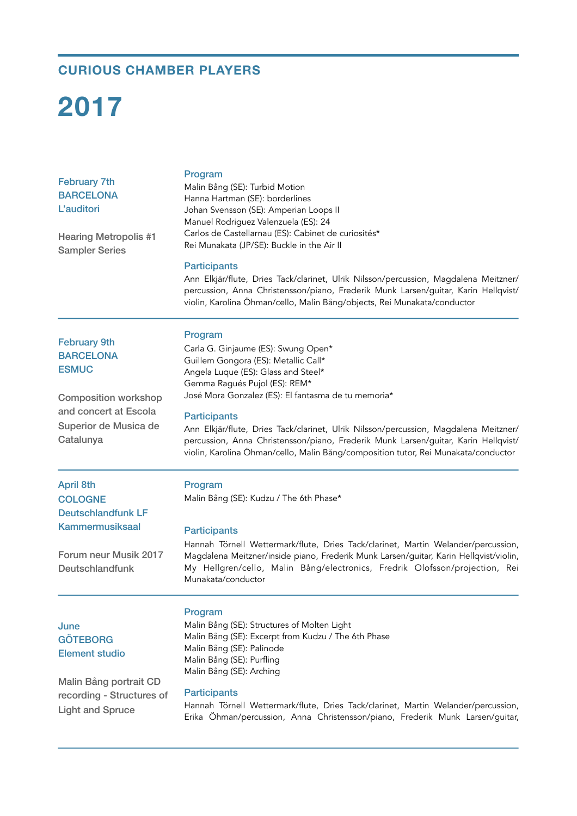# **CURIOUS CHAMBER PLAYERS**

# **2017**

| <b>February 7th</b> |
|---------------------|
| <b>BARCELONA</b>    |
| L'auditori          |

Hearing Metropolis #1 Sampler Series

### Program

Malin Bång (SE): Turbid Motion Hanna Hartman (SE): borderlines Johan Svensson (SE): Amperian Loops II Manuel Rodriguez Valenzuela (ES): 24 Carlos de Castellarnau (ES): Cabinet de curiosités\* Rei Munakata (JP/SE): Buckle in the Air II

#### **Participants**

Program

Ann Elkjär/flute, Dries Tack/clarinet, Ulrik Nilsson/percussion, Magdalena Meitzner/ percussion, Anna Christensson/piano, Frederik Munk Larsen/guitar, Karin Hellqvist/ violin, Karolina Öhman/cello, Malin Bång/objects, Rei Munakata/conductor

# February 9th **BARCELONA ESMUC**

Composition workshop and concert at Escola Superior de Musica de Catalunya

**Participants** Ann Elkjär/flute, Dries Tack/clarinet, Ulrik Nilsson/percussion, Magdalena Meitzner/ percussion, Anna Christensson/piano, Frederik Munk Larsen/guitar, Karin Hellqvist/ violin, Karolina Öhman/cello, Malin Bång/composition tutor, Rei Munakata/conductor

Hannah Törnell Wettermark/flute, Dries Tack/clarinet, Martin Welander/percussion, Magdalena Meitzner/inside piano, Frederik Munk Larsen/guitar, Karin Hellqvist/violin, My Hellgren/cello, Malin Bång/electronics, Fredrik Olofsson/projection, Rei

April 8th **COLOGNE** Deutschlandfunk LF Kammermusiksaal

#### Program

Malin Bång (SE): Kudzu / The 6th Phase\*

Carla G. Ginjaume (ES): Swung Open\* Guillem Gongora (ES): Metallic Call\* Angela Luque (ES): Glass and Steel\* Gemma Ragués Pujol (ES): REM\*

José Mora Gonzalez (ES): El fantasma de tu memoria\*

#### **Participants**

Munakata/conductor

Forum neur Musik 2017 Deutschlandfunk

# June **GÖTEBORG** Element studio

Malin Bång portrait CD recording - Structures of Light and Spruce

## Program

Malin Bång (SE): Structures of Molten Light Malin Bång (SE): Excerpt from Kudzu / The 6th Phase Malin Bång (SE): Palinode Malin Bång (SE): Purfling Malin Bång (SE): Arching

#### **Participants**

Hannah Törnell Wettermark/flute, Dries Tack/clarinet, Martin Welander/percussion, Erika Öhman/percussion, Anna Christensson/piano, Frederik Munk Larsen/guitar,